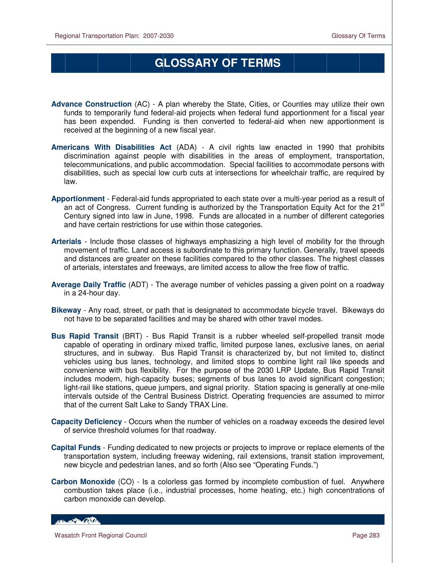## **GLOSSARY OF TERMS**

- **Advance Construction** (AC) A plan whereby the State, Cities, or Counties may utilize their own funds to temporarily fund federal-aid projects when federal fund apportionment for a fiscal year has been expended. Funding is then converted to federal-aid when new apportionment is received at the beginning of a new fiscal year.
- **Americans With Disabilities Act** (ADA) A civil rights law enacted in 1990 that prohibits discrimination against people with disabilities in the areas of employment, transportation, telecommunications, and public accommodation. Special facilities to accommodate persons with disabilities, such as special low curb cuts at intersections for wheelchair traffic, are required by law.
- **Apportionment** Federal-aid funds appropriated to each state over a multi-year period as a result of an act of Congress. Current funding is authorized by the Transportation Equity Act for the 21 $^{\rm st}$ Century signed into law in June, 1998. Funds are allocated in a number of different categories and have certain restrictions for use within those categories.
- **Arterials** Include those classes of highways emphasizing a high level of mobility for the through movement of traffic. Land access is subordinate to this primary function. Generally, travel speeds and distances are greater on these facilities compared to the other classes. The highest classes of arterials, interstates and freeways, are limited access to allow the free flow of traffic.
- **Average Daily Traffic** (ADT) The average number of vehicles passing a given point on a roadway in a 24-hour day.
- **Bikeway** Any road, street, or path that is designated to accommodate bicycle travel. Bikeways do not have to be separated facilities and may be shared with other travel modes.
- **Bus Rapid Transit** (BRT) Bus Rapid Transit is a rubber wheeled self-propelled transit mode capable of operating in ordinary mixed traffic, limited purpose lanes, exclusive lanes, on aerial structures, and in subway. Bus Rapid Transit is characterized by, but not limited to, distinct vehicles using bus lanes, technology, and limited stops to combine light rail like speeds and convenience with bus flexibility. For the purpose of the 2030 LRP Update, Bus Rapid Transit includes modern, high-capacity buses; segments of bus lanes to avoid significant congestion; light-rail like stations, queue jumpers, and signal priority. Station spacing is generally at one-mile intervals outside of the Central Business District. Operating frequencies are assumed to mirror that of the current Salt Lake to Sandy TRAX Line.
- **Capacity Deficiency** Occurs when the number of vehicles on a roadway exceeds the desired level of service threshold volumes for that roadway.
- **Capital Funds** Funding dedicated to new projects or projects to improve or replace elements of the transportation system, including freeway widening, rail extensions, transit station improvement, new bicycle and pedestrian lanes, and so forth (Also see "Operating Funds.")
- **Carbon Monoxide** (CO) Is a colorless gas formed by incomplete combustion of fuel. Anywhere combustion takes place (i.e., industrial processes, home heating, etc.) high concentrations of carbon monoxide can develop.

HELL OF BACKER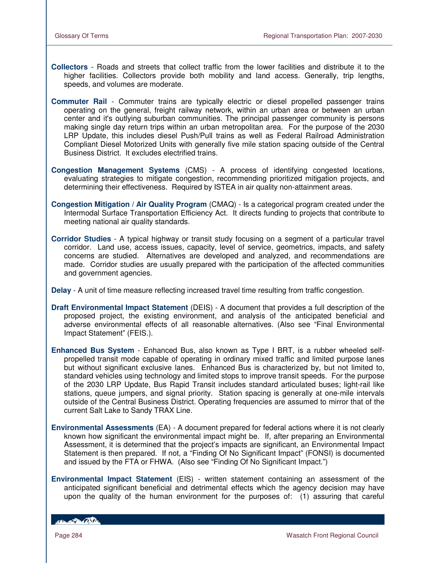- **Collectors** Roads and streets that collect traffic from the lower facilities and distribute it to the higher facilities. Collectors provide both mobility and land access. Generally, trip lengths, speeds, and volumes are moderate.
- **Commuter Rail** Commuter trains are typically electric or diesel propelled passenger trains operating on the general, freight railway network, within an urban area or between an urban center and it's outlying suburban communities. The principal passenger community is persons making single day return trips within an urban metropolitan area. For the purpose of the 2030 LRP Update, this includes diesel Push/Pull trains as well as Federal Railroad Administration Compliant Diesel Motorized Units with generally five mile station spacing outside of the Central Business District. It excludes electrified trains.
- **Congestion Management Systems** (CMS) A process of identifying congested locations, evaluating strategies to mitigate congestion, recommending prioritized mitigation projects, and determining their effectiveness. Required by ISTEA in air quality non-attainment areas.
- **Congestion Mitigation / Air Quality Program** (CMAQ) Is a categorical program created under the Intermodal Surface Transportation Efficiency Act. It directs funding to projects that contribute to meeting national air quality standards.
- **Corridor Studies** A typical highway or transit study focusing on a segment of a particular travel corridor. Land use, access issues, capacity, level of service, geometrics, impacts, and safety concerns are studied. Alternatives are developed and analyzed, and recommendations are made. Corridor studies are usually prepared with the participation of the affected communities and government agencies.

**Delay** - A unit of time measure reflecting increased travel time resulting from traffic congestion.

- **Draft Environmental Impact Statement** (DEIS) A document that provides a full description of the proposed project, the existing environment, and analysis of the anticipated beneficial and adverse environmental effects of all reasonable alternatives. (Also see "Final Environmental Impact Statement" (FEIS.).
- **Enhanced Bus System** Enhanced Bus, also known as Type I BRT, is a rubber wheeled selfpropelled transit mode capable of operating in ordinary mixed traffic and limited purpose lanes but without significant exclusive lanes. Enhanced Bus is characterized by, but not limited to, standard vehicles using technology and limited stops to improve transit speeds. For the purpose of the 2030 LRP Update, Bus Rapid Transit includes standard articulated buses; light-rail like stations, queue jumpers, and signal priority. Station spacing is generally at one-mile intervals outside of the Central Business District. Operating frequencies are assumed to mirror that of the current Salt Lake to Sandy TRAX Line.
- **Environmental Assessments** (EA) A document prepared for federal actions where it is not clearly known how significant the environmental impact might be. If, after preparing an Environmental Assessment, it is determined that the project's impacts are significant, an Environmental Impact Statement is then prepared. If not, a "Finding Of No Significant Impact" (FONSI) is documented and issued by the FTA or FHWA. (Also see "Finding Of No Significant Impact.")
- **Environmental Impact Statement** (EIS) written statement containing an assessment of the anticipated significant beneficial and detrimental effects which the agency decision may have upon the quality of the human environment for the purposes of: (1) assuring that careful

HELL CONTRACTOR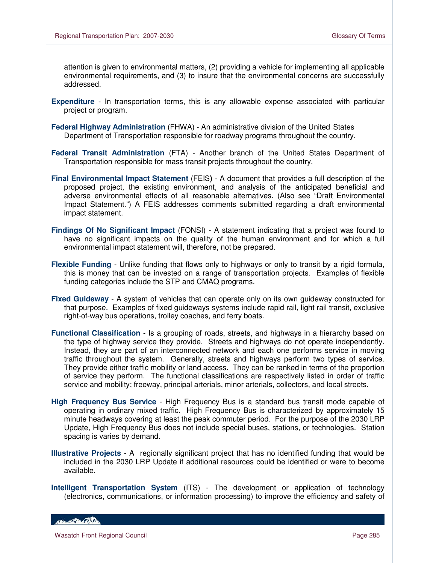attention is given to environmental matters, (2) providing a vehicle for implementing all applicable environmental requirements, and (3) to insure that the environmental concerns are successfully addressed.

- **Expenditure** In transportation terms, this is any allowable expense associated with particular project or program.
- **Federal Highway Administration** (FHWA) An administrative division of the United States Department of Transportation responsible for roadway programs throughout the country.
- **Federal Transit Administration** (FTA) Another branch of the United States Department of Transportation responsible for mass transit projects throughout the country.
- **Final Environmental Impact Statement** (FEIS**)** A document that provides a full description of the proposed project, the existing environment, and analysis of the anticipated beneficial and adverse environmental effects of all reasonable alternatives. (Also see "Draft Environmental Impact Statement.") A FEIS addresses comments submitted regarding a draft environmental impact statement.
- **Findings Of No Significant Impact** (FONSI) A statement indicating that a project was found to have no significant impacts on the quality of the human environment and for which a full environmental impact statement will, therefore, not be prepared.
- **Flexible Funding** Unlike funding that flows only to highways or only to transit by a rigid formula, this is money that can be invested on a range of transportation projects. Examples of flexible funding categories include the STP and CMAQ programs.
- **Fixed Guideway** A system of vehicles that can operate only on its own guideway constructed for that purpose. Examples of fixed guideways systems include rapid rail, light rail transit, exclusive right-of-way bus operations, trolley coaches, and ferry boats.
- **Functional Classification** Is a grouping of roads, streets, and highways in a hierarchy based on the type of highway service they provide. Streets and highways do not operate independently. Instead, they are part of an interconnected network and each one performs service in moving traffic throughout the system. Generally, streets and highways perform two types of service. They provide either traffic mobility or land access. They can be ranked in terms of the proportion of service they perform. The functional classifications are respectively listed in order of traffic service and mobility; freeway, principal arterials, minor arterials, collectors, and local streets.
- **High Frequency Bus Service** High Frequency Bus is a standard bus transit mode capable of operating in ordinary mixed traffic. High Frequency Bus is characterized by approximately 15 minute headways covering at least the peak commuter period. For the purpose of the 2030 LRP Update, High Frequency Bus does not include special buses, stations, or technologies. Station spacing is varies by demand.
- **Illustrative Projects** A regionally significant project that has no identified funding that would be included in the 2030 LRP Update if additional resources could be identified or were to become available.
- **Intelligent Transportation System** (ITS) The development or application of technology (electronics, communications, or information processing) to improve the efficiency and safety of

HELL CONTROL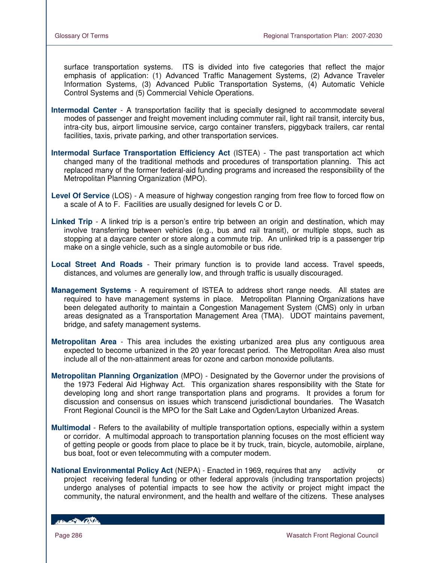surface transportation systems. ITS is divided into five categories that reflect the major emphasis of application: (1) Advanced Traffic Management Systems, (2) Advance Traveler Information Systems, (3) Advanced Public Transportation Systems, (4) Automatic Vehicle Control Systems and (5) Commercial Vehicle Operations.

- **Intermodal Center** A transportation facility that is specially designed to accommodate several modes of passenger and freight movement including commuter rail, light rail transit, intercity bus, intra-city bus, airport limousine service, cargo container transfers, piggyback trailers, car rental facilities, taxis, private parking, and other transportation services.
- **Intermodal Surface Transportation Efficiency Act** (ISTEA) The past transportation act which changed many of the traditional methods and procedures of transportation planning. This act replaced many of the former federal-aid funding programs and increased the responsibility of the Metropolitan Planning Organization (MPO).
- Level Of Service (LOS) A measure of highway congestion ranging from free flow to forced flow on a scale of A to F. Facilities are usually designed for levels C or D.
- **Linked Trip** A linked trip is a person's entire trip between an origin and destination, which may involve transferring between vehicles (e.g., bus and rail transit), or multiple stops, such as stopping at a daycare center or store along a commute trip. An unlinked trip is a passenger trip make on a single vehicle, such as a single automobile or bus ride.
- **Local Street And Roads** Their primary function is to provide land access. Travel speeds, distances, and volumes are generally low, and through traffic is usually discouraged.
- **Management Systems** A requirement of ISTEA to address short range needs. All states are required to have management systems in place. Metropolitan Planning Organizations have been delegated authority to maintain a Congestion Management System (CMS) only in urban areas designated as a Transportation Management Area (TMA). UDOT maintains pavement, bridge, and safety management systems.
- **Metropolitan Area** This area includes the existing urbanized area plus any contiguous area expected to become urbanized in the 20 year forecast period. The Metropolitan Area also must include all of the non-attainment areas for ozone and carbon monoxide pollutants.
- **Metropolitan Planning Organization** (MPO) Designated by the Governor under the provisions of the 1973 Federal Aid Highway Act. This organization shares responsibility with the State for developing long and short range transportation plans and programs. It provides a forum for discussion and consensus on issues which transcend jurisdictional boundaries. The Wasatch Front Regional Council is the MPO for the Salt Lake and Ogden/Layton Urbanized Areas.
- **Multimodal** Refers to the availability of multiple transportation options, especially within a system or corridor. A multimodal approach to transportation planning focuses on the most efficient way of getting people or goods from place to place be it by truck, train, bicycle, automobile, airplane, bus boat, foot or even telecommuting with a computer modem.
- **National Environmental Policy Act** (NEPA) Enacted in 1969, requires that any activity or project receiving federal funding or other federal approvals (including transportation projects) undergo analyses of potential impacts to see how the activity or project might impact the community, the natural environment, and the health and welfare of the citizens. These analyses

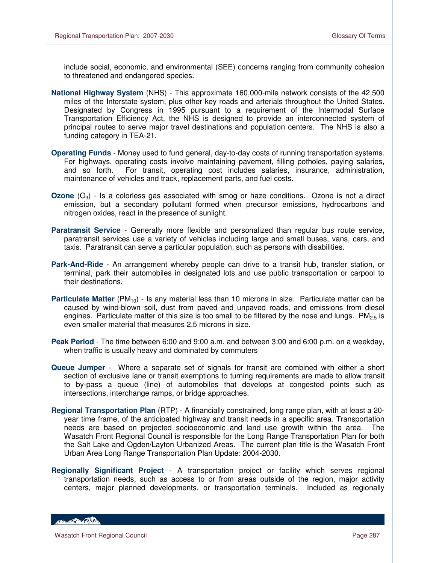include social, economic, and environmental (SEE) concerns ranging from community cohesion to threatened and endangered species.

- **National Highway System** (NHS) This approximate 160,000-mile network consists of the 42,500 miles of the Interstate system, plus other key roads and arterials throughout the United States. Designated by Congress in 1995 pursuant to a requirement of the Intermodal Surface Transportation Efficiency Act, the NHS is designed to provide an interconnected system of principal routes to serve major travel destinations and population centers. The NHS is also a funding category in TEA-21.
- **Operating Funds** Money used to fund general, day-to-day costs of running transportation systems. For highways, operating costs involve maintaining pavement, filling potholes, paying salaries, and so forth. For transit, operating cost includes salaries, insurance, administration, maintenance of vehicles and track, replacement parts, and fuel costs.
- **Ozone** (O<sub>3</sub>) Is a colorless gas associated with smog or haze conditions. Ozone is not a direct emission, but a secondary pollutant formed when precursor emissions, hydrocarbons and nitrogen oxides, react in the presence of sunlight.
- **Paratransit Service** Generally more flexible and personalized than regular bus route service, paratransit services use a variety of vehicles including large and small buses, vans, cars, and taxis. Paratransit can serve a particular population, such as persons with disabilities.
- **Park-And-Ride** An arrangement whereby people can drive to a transit hub, transfer station, or terminal, park their automobiles in designated lots and use public transportation or carpool to their destinations.
- **Particulate Matter** (PM<sub>10</sub>) Is any material less than 10 microns in size. Particulate matter can be caused by wind-blown soil, dust from paved and unpaved roads, and emissions from diesel engines. Particulate matter of this size is too small to be filtered by the nose and lungs.  $PM_{2.5}$  is even smaller material that measures 2.5 microns in size.
- **Peak Period** The time between 6:00 and 9:00 a.m. and between 3:00 and 6:00 p.m. on a weekday, when traffic is usually heavy and dominated by commuters
- **Queue Jumper** Where a separate set of signals for transit are combined with either a short section of exclusive lane or transit exemptions to turning requirements are made to allow transit to by-pass a queue (line) of automobiles that develops at congested points such as intersections, interchange ramps, or bridge approaches.
- **Regional Transportation Plan** (RTP) A financially constrained, long range plan, with at least a 20 year time frame, of the anticipated highway and transit needs in a specific area. Transportation needs are based on projected socioeconomic and land use growth within the area. The Wasatch Front Regional Council is responsible for the Long Range Transportation Plan for both the Salt Lake and Ogden/Layton Urbanized Areas. The current plan title is the Wasatch Front Urban Area Long Range Transportation Plan Update: 2004-2030.
- **Regionally Significant Project** A transportation project or facility which serves regional transportation needs, such as access to or from areas outside of the region, major activity centers, major planned developments, or transportation terminals. Included as regionally

HELL CONTROL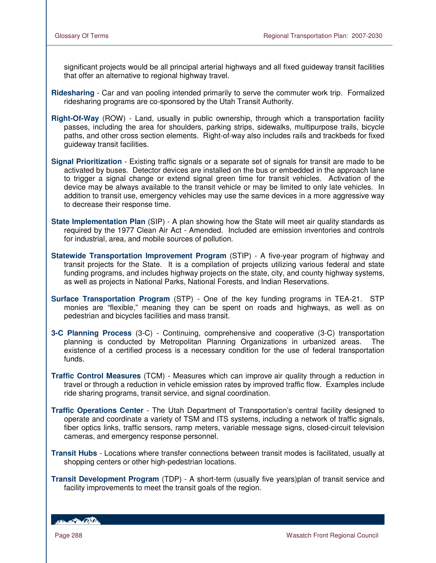significant projects would be all principal arterial highways and all fixed guideway transit facilities that offer an alternative to regional highway travel.

- **Ridesharing** Car and van pooling intended primarily to serve the commuter work trip. Formalized ridesharing programs are co-sponsored by the Utah Transit Authority.
- **Right-Of-Way** (ROW) Land, usually in public ownership, through which a transportation facility passes, including the area for shoulders, parking strips, sidewalks, multipurpose trails, bicycle paths, and other cross section elements. Right-of-way also includes rails and trackbeds for fixed guideway transit facilities.
- **Signal Prioritization** Existing traffic signals or a separate set of signals for transit are made to be activated by buses. Detector devices are installed on the bus or embedded in the approach lane to trigger a signal change or extend signal green time for transit vehicles. Activation of the device may be always available to the transit vehicle or may be limited to only late vehicles. In addition to transit use, emergency vehicles may use the same devices in a more aggressive way to decrease their response time.
- **State Implementation Plan** (SIP) A plan showing how the State will meet air quality standards as required by the 1977 Clean Air Act - Amended. Included are emission inventories and controls for industrial, area, and mobile sources of pollution.
- **Statewide Transportation Improvement Program** (STIP) A five-year program of highway and transit projects for the State. It is a compilation of projects utilizing various federal and state funding programs, and includes highway projects on the state, city, and county highway systems, as well as projects in National Parks, National Forests, and Indian Reservations.
- **Surface Transportation Program** (STP) One of the key funding programs in TEA-21. STP monies are "flexible," meaning they can be spent on roads and highways, as well as on pedestrian and bicycles facilities and mass transit.
- **3-C Planning Process** (3-C) Continuing, comprehensive and cooperative (3-C) transportation planning is conducted by Metropolitan Planning Organizations in urbanized areas. The existence of a certified process is a necessary condition for the use of federal transportation funds.
- **Traffic Control Measures** (TCM) Measures which can improve air quality through a reduction in travel or through a reduction in vehicle emission rates by improved traffic flow. Examples include ride sharing programs, transit service, and signal coordination.
- **Traffic Operations Center** The Utah Department of Transportation's central facility designed to operate and coordinate a variety of TSM and ITS systems, including a network of traffic signals, fiber optics links, traffic sensors, ramp meters, variable message signs, closed-circuit television cameras, and emergency response personnel.
- **Transit Hubs** Locations where transfer connections between transit modes is facilitated, usually at shopping centers or other high-pedestrian locations.
- **Transit Development Program** (TDP) A short-term (usually five years)plan of transit service and facility improvements to meet the transit goals of the region.

HELL CONTRACTOR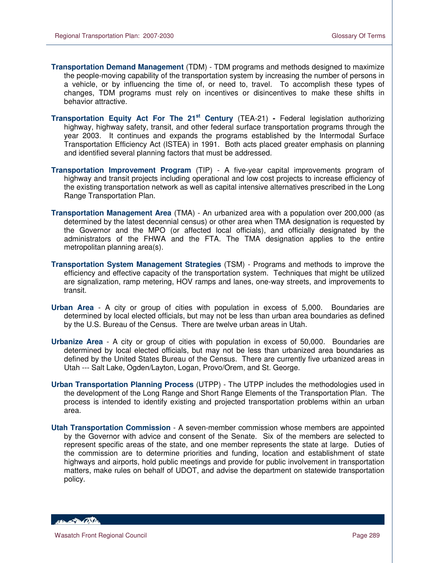- **Transportation Demand Management** (TDM) TDM programs and methods designed to maximize the people-moving capability of the transportation system by increasing the number of persons in a vehicle, or by influencing the time of, or need to, travel. To accomplish these types of changes, TDM programs must rely on incentives or disincentives to make these shifts in behavior attractive.
- **Transportation Equity Act For The 21st Century** (TEA-21) **-** Federal legislation authorizing highway, highway safety, transit, and other federal surface transportation programs through the year 2003. It continues and expands the programs established by the Intermodal Surface Transportation Efficiency Act (ISTEA) in 1991. Both acts placed greater emphasis on planning and identified several planning factors that must be addressed.
- **Transportation Improvement Program** (TIP) A five-year capital improvements program of highway and transit projects including operational and low cost projects to increase efficiency of the existing transportation network as well as capital intensive alternatives prescribed in the Long Range Transportation Plan.
- **Transportation Management Area** (TMA) An urbanized area with a population over 200,000 (as determined by the latest decennial census) or other area when TMA designation is requested by the Governor and the MPO (or affected local officials), and officially designated by the administrators of the FHWA and the FTA. The TMA designation applies to the entire metropolitan planning area(s).
- **Transportation System Management Strategies** (TSM) Programs and methods to improve the efficiency and effective capacity of the transportation system. Techniques that might be utilized are signalization, ramp metering, HOV ramps and lanes, one-way streets, and improvements to transit.
- **Urban Area** A city or group of cities with population in excess of 5,000. Boundaries are determined by local elected officials, but may not be less than urban area boundaries as defined by the U.S. Bureau of the Census. There are twelve urban areas in Utah.
- **Urbanize Area** A city or group of cities with population in excess of 50,000. Boundaries are determined by local elected officials, but may not be less than urbanized area boundaries as defined by the United States Bureau of the Census. There are currently five urbanized areas in Utah --- Salt Lake, Ogden/Layton, Logan, Provo/Orem, and St. George.
- **Urban Transportation Planning Process** (UTPP) The UTPP includes the methodologies used in the development of the Long Range and Short Range Elements of the Transportation Plan. The process is intended to identify existing and projected transportation problems within an urban area.
- **Utah Transportation Commission** A seven-member commission whose members are appointed by the Governor with advice and consent of the Senate. Six of the members are selected to represent specific areas of the state, and one member represents the state at large. Duties of the commission are to determine priorities and funding, location and establishment of state highways and airports, hold public meetings and provide for public involvement in transportation matters, make rules on behalf of UDOT, and advise the department on statewide transportation policy.

HELL OF BACKER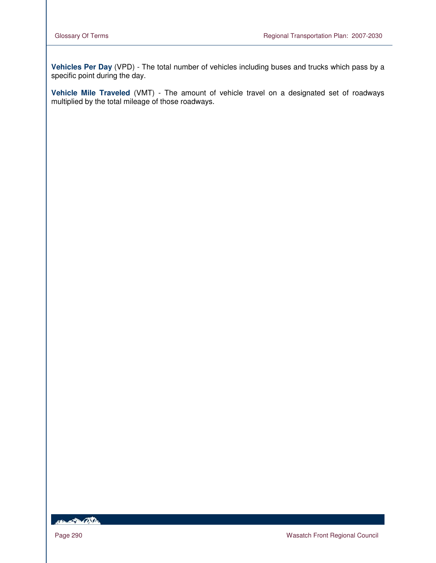**Vehicles Per Day** (VPD) - The total number of vehicles including buses and trucks which pass by a specific point during the day.

**Vehicle Mile Traveled** (VMT) - The amount of vehicle travel on a designated set of roadways multiplied by the total mileage of those roadways.

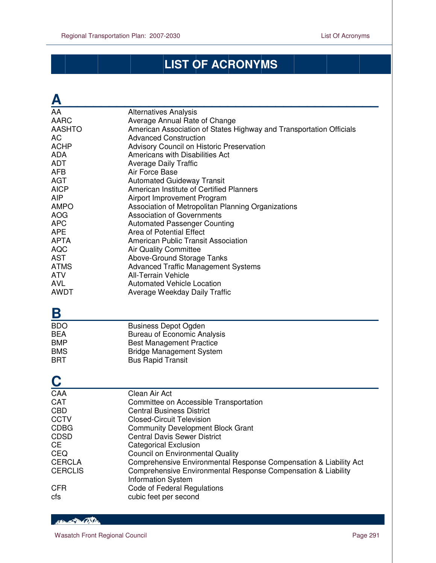# **LIST OF ACRONYMS**

| <u>А</u>                |                                                                     |
|-------------------------|---------------------------------------------------------------------|
| AA                      | <b>Alternatives Analysis</b>                                        |
| <b>AARC</b>             | Average Annual Rate of Change                                       |
| <b>AASHTO</b>           | American Association of States Highway and Transportation Officials |
| AC                      | <b>Advanced Construction</b>                                        |
| <b>ACHP</b>             | Advisory Council on Historic Preservation                           |
| <b>ADA</b>              | Americans with Disabilities Act                                     |
| <b>ADT</b>              | <b>Average Daily Traffic</b>                                        |
| <b>AFB</b>              | Air Force Base                                                      |
| <b>AGT</b>              | <b>Automated Guideway Transit</b>                                   |
| <b>AICP</b>             | American Institute of Certified Planners                            |
| <b>AIP</b>              | Airport Improvement Program                                         |
| <b>AMPO</b>             | Association of Metropolitan Planning Organizations                  |
| <b>AOG</b>              | <b>Association of Governments</b>                                   |
| <b>APC</b>              | <b>Automated Passenger Counting</b>                                 |
| <b>APE</b>              | Area of Potential Effect                                            |
| <b>APTA</b>             | American Public Transit Association                                 |
| <b>AQC</b>              | <b>Air Quality Committee</b>                                        |
| <b>AST</b>              | Above-Ground Storage Tanks                                          |
| <b>ATMS</b>             | <b>Advanced Traffic Management Systems</b>                          |
| <b>ATV</b>              | <b>All-Terrain Vehicle</b>                                          |
| <b>AVL</b>              | <b>Automated Vehicle Location</b>                                   |
| <b>AWDT</b>             | Average Weekday Daily Traffic                                       |
| Β                       |                                                                     |
| <b>BDO</b>              | <b>Business Depot Ogden</b>                                         |
| <b>BEA</b>              | <b>Bureau of Economic Analysis</b>                                  |
| <b>BMP</b>              | <b>Best Management Practice</b>                                     |
| <b>BMS</b>              | <b>Bridge Management System</b>                                     |
| <b>BRT</b>              | <b>Bus Rapid Transit</b>                                            |
| $\overline{\mathbf{C}}$ |                                                                     |
| CAA                     | Clean Air Act                                                       |
| CAT                     | Committee on Accessible Transportation                              |
| <b>CBD</b>              | <b>Central Business District</b>                                    |
| <b>CCTV</b>             | <b>Closed-Circuit Television</b>                                    |
| <b>CDBG</b>             | <b>Community Development Block Grant</b>                            |
| <b>CDSD</b>             | <b>Central Davis Sewer District</b>                                 |
| <b>CE</b>               | <b>Categorical Exclusion</b>                                        |
| CEQ                     | <b>Council on Environmental Quality</b>                             |
| <b>CERCLA</b>           | Comprehensive Environmental Response Compensation & Liability Act   |
| <b>CERCLIS</b>          | Comprehensive Environmental Response Compensation & Liability       |
|                         | <b>Information System</b>                                           |
| <b>CFR</b>              | Code of Federal Regulations                                         |
| cfs                     | cubic feet per second                                               |

HEL AND CONTROL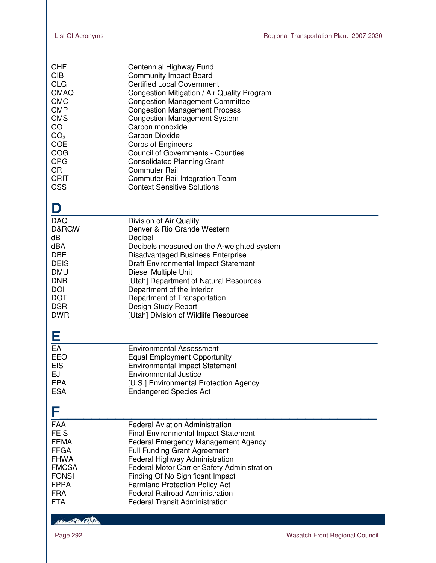| <b>CHF</b><br><b>CIB</b> | Centennial Highway Fund<br><b>Community Impact Board</b> |
|--------------------------|----------------------------------------------------------|
| <b>CLG</b>               | <b>Certified Local Government</b>                        |
| <b>CMAQ</b>              | Congestion Mitigation / Air Quality Program              |
| <b>CMC</b>               | <b>Congestion Management Committee</b>                   |
| <b>CMP</b>               | <b>Congestion Management Process</b>                     |
| <b>CMS</b>               | <b>Congestion Management System</b>                      |
| CO.                      | Carbon monoxide                                          |
| CO <sub>2</sub>          | Carbon Dioxide                                           |
| <b>COE</b>               | <b>Corps of Engineers</b>                                |
| COG                      | <b>Council of Governments - Counties</b>                 |
| <b>CPG</b>               | <b>Consolidated Planning Grant</b>                       |
| CR.                      | <b>Commuter Rail</b>                                     |
| CRIT                     | Commuter Rail Integration Team                           |
| <b>CSS</b>               | <b>Context Sensitive Solutions</b>                       |

| D                                                                                                                                          |                                                                                                                                                                                                                                                                                                                                                                                                            |  |
|--------------------------------------------------------------------------------------------------------------------------------------------|------------------------------------------------------------------------------------------------------------------------------------------------------------------------------------------------------------------------------------------------------------------------------------------------------------------------------------------------------------------------------------------------------------|--|
| <b>DAQ</b><br>D&RGW<br>dB<br>dBA<br><b>DBE</b><br><b>DEIS</b><br><b>DMU</b><br><b>DNR</b><br>DOI<br><b>DOT</b><br><b>DSR</b><br><b>DWR</b> | Division of Air Quality<br>Denver & Rio Grande Western<br>Decibel<br>Decibels measured on the A-weighted system<br><b>Disadvantaged Business Enterprise</b><br><b>Draft Environmental Impact Statement</b><br>Diesel Multiple Unit<br>[Utah] Department of Natural Resources<br>Department of the Interior<br>Department of Transportation<br>Design Study Report<br>[Utah] Division of Wildlife Resources |  |
| Е                                                                                                                                          |                                                                                                                                                                                                                                                                                                                                                                                                            |  |
| EA<br>EEO<br><b>EIS</b><br>EJ<br><b>EPA</b><br><b>ESA</b>                                                                                  | Environmental Assessment<br><b>Equal Employment Opportunity</b><br><b>Environmental Impact Statement</b><br><b>Environmental Justice</b><br>[U.S.] Environmental Protection Agency<br><b>Endangered Species Act</b>                                                                                                                                                                                        |  |
| F                                                                                                                                          |                                                                                                                                                                                                                                                                                                                                                                                                            |  |
| <b>FAA</b><br><b>FEIS</b>                                                                                                                  | <b>Federal Aviation Administration</b><br><b>Final Environmental Impact Statement</b>                                                                                                                                                                                                                                                                                                                      |  |

FEMA Federal Emergency Management Agency<br>FFGA Full Funding Grant Agreement FFGA Full Funding Grant Agreement<br>FHWA Federal Highway Administration

FHWA Federal Highway Administration FMCSA Federal Motor Carrier Safety Administration

FONSI Finding Of No Significant Impact<br>FPPA Farmland Protection Policy Act

FPPA Farmland Protection Policy Act<br>FRA Federal Railroad Administration FRA Federal Railroad Administration<br>FTA Federal Transit Administration Federal Transit Administration

**REAL PROPERTY**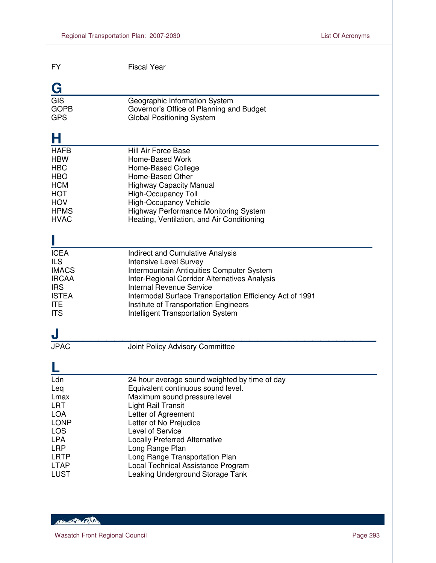| <b>FY</b>    | <b>Fiscal Year</b>                                       |
|--------------|----------------------------------------------------------|
| G            |                                                          |
| GIS          | Geographic Information System                            |
| <b>GOPB</b>  | Governor's Office of Planning and Budget                 |
| <b>GPS</b>   | <b>Global Positioning System</b>                         |
| Н            |                                                          |
| <b>HAFB</b>  | Hill Air Force Base                                      |
| <b>HBW</b>   | Home-Based Work                                          |
| <b>HBC</b>   | Home-Based College                                       |
| <b>HBO</b>   | Home-Based Other                                         |
| <b>HCM</b>   | <b>Highway Capacity Manual</b>                           |
| <b>HOT</b>   | High-Occupancy Toll                                      |
| <b>HOV</b>   | <b>High-Occupancy Vehicle</b>                            |
| <b>HPMS</b>  | <b>Highway Performance Monitoring System</b>             |
| <b>HVAC</b>  | Heating, Ventilation, and Air Conditioning               |
| <b>ICEA</b>  | Indirect and Cumulative Analysis                         |
| <b>ILS</b>   | <b>Intensive Level Survey</b>                            |
| <b>IMACS</b> | Intermountain Antiquities Computer System                |
| <b>IRCAA</b> | Inter-Regional Corridor Alternatives Analysis            |
| <b>IRS</b>   | <b>Internal Revenue Service</b>                          |
| <b>ISTEA</b> | Intermodal Surface Transportation Efficiency Act of 1991 |
| <b>ITE</b>   | Institute of Transportation Engineers                    |
| <b>ITS</b>   | Intelligent Transportation System                        |
| <b>JPAC</b>  | Joint Policy Advisory Committee                          |
| Lan          | 24 hour average sound weighted by time of day            |
| Leq          | Equivalent continuous sound level.                       |
| Lmax         | Maximum sound pressure level                             |
| <b>LRT</b>   | Light Rail Transit                                       |
| <b>LOA</b>   | Letter of Agreement                                      |
| <b>LONP</b>  | Letter of No Prejudice                                   |
| LOS          | Level of Service                                         |
| <b>LPA</b>   | <b>Locally Preferred Alternative</b>                     |
| <b>LRP</b>   | Long Range Plan                                          |
| <b>LRTP</b>  | Long Range Transportation Plan                           |
| <b>LTAP</b>  | Local Technical Assistance Program                       |
| <b>LUST</b>  | Leaking Underground Storage Tank                         |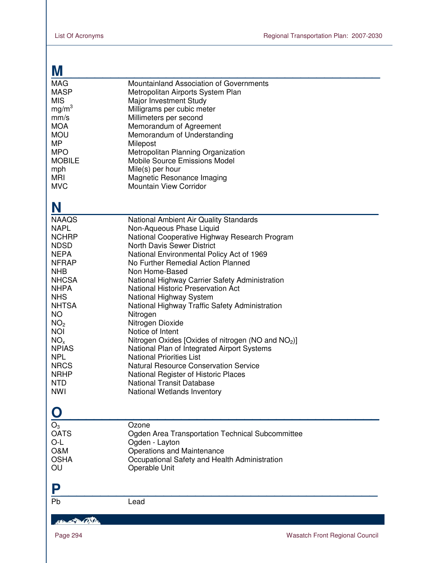| M                                                                                                                                                                                                                                                                                                                             |                                                                                                                                                                                                                                                                                                                                                                                                                                                                                                                                                                                                                                                                                                                                                                                                       |
|-------------------------------------------------------------------------------------------------------------------------------------------------------------------------------------------------------------------------------------------------------------------------------------------------------------------------------|-------------------------------------------------------------------------------------------------------------------------------------------------------------------------------------------------------------------------------------------------------------------------------------------------------------------------------------------------------------------------------------------------------------------------------------------------------------------------------------------------------------------------------------------------------------------------------------------------------------------------------------------------------------------------------------------------------------------------------------------------------------------------------------------------------|
| <b>MAG</b><br><b>MASP</b><br><b>MIS</b><br>mg/m <sup>3</sup><br>mm/s<br><b>MOA</b><br><b>MOU</b><br><b>MP</b><br><b>MPO</b><br><b>MOBILE</b><br>mph<br>MRI<br><b>MVC</b>                                                                                                                                                      | Mountainland Association of Governments<br>Metropolitan Airports System Plan<br>Major Investment Study<br>Milligrams per cubic meter<br>Millimeters per second<br>Memorandum of Agreement<br>Memorandum of Understanding<br>Milepost<br>Metropolitan Planning Organization<br><b>Mobile Source Emissions Model</b><br>Mile(s) per hour<br>Magnetic Resonance Imaging<br><b>Mountain View Corridor</b>                                                                                                                                                                                                                                                                                                                                                                                                 |
| N                                                                                                                                                                                                                                                                                                                             |                                                                                                                                                                                                                                                                                                                                                                                                                                                                                                                                                                                                                                                                                                                                                                                                       |
| <b>NAAQS</b><br><b>NAPL</b><br><b>NCHRP</b><br><b>NDSD</b><br><b>NEPA</b><br><b>NFRAP</b><br><b>NHB</b><br><b>NHCSA</b><br><b>NHPA</b><br><b>NHS</b><br><b>NHTSA</b><br><b>NO</b><br>NO <sub>2</sub><br><b>NOI</b><br>NO <sub>x</sub><br><b>NPIAS</b><br><b>NPL</b><br><b>NRCS</b><br><b>NRHP</b><br><b>NTD</b><br><b>NWI</b> | National Ambient Air Quality Standards<br>Non-Aqueous Phase Liquid<br>National Cooperative Highway Research Program<br><b>North Davis Sewer District</b><br>National Environmental Policy Act of 1969<br>No Further Remedial Action Planned<br>Non Home-Based<br>National Highway Carrier Safety Administration<br><b>National Historic Preservation Act</b><br>National Highway System<br>National Highway Traffic Safety Administration<br>Nitrogen<br>Nitrogen Dioxide<br>Notice of Intent<br>Nitrogen Oxides [Oxides of nitrogen (NO and NO <sub>2</sub> )]<br>National Plan of Integrated Airport Systems<br><b>National Priorities List</b><br><b>Natural Resource Conservation Service</b><br>National Register of Historic Places<br>National Transit Database<br>National Wetlands Inventory |
|                                                                                                                                                                                                                                                                                                                               |                                                                                                                                                                                                                                                                                                                                                                                                                                                                                                                                                                                                                                                                                                                                                                                                       |
| $O_3$<br><b>OATS</b><br>O-L<br><b>O&amp;M</b><br><b>OSHA</b><br>OU                                                                                                                                                                                                                                                            | Ozone<br>Ogden Area Transportation Technical Subcommittee<br>Ogden - Layton<br>Operations and Maintenance<br>Occupational Safety and Health Administration<br>Operable Unit                                                                                                                                                                                                                                                                                                                                                                                                                                                                                                                                                                                                                           |
|                                                                                                                                                                                                                                                                                                                               |                                                                                                                                                                                                                                                                                                                                                                                                                                                                                                                                                                                                                                                                                                                                                                                                       |
| Pb                                                                                                                                                                                                                                                                                                                            | Lead                                                                                                                                                                                                                                                                                                                                                                                                                                                                                                                                                                                                                                                                                                                                                                                                  |

Handle Bally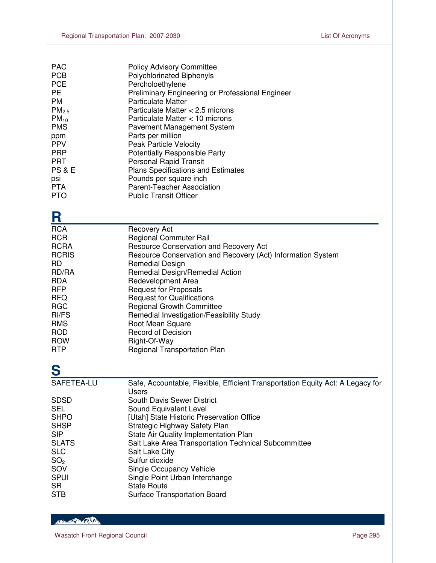| <b>PAC</b>        | <b>Policy Advisory Committee</b>                 |
|-------------------|--------------------------------------------------|
| <b>PCB</b>        | Polychlorinated Biphenyls                        |
| <b>PCE</b>        | Percholoethylene                                 |
| <b>PE</b>         | Preliminary Engineering or Professional Engineer |
| <b>PM</b>         | <b>Particulate Matter</b>                        |
| PM <sub>2.5</sub> | Particulate Matter < 2.5 microns                 |
| $PM_{10}$         | Particulate Matter < 10 microns                  |
| <b>PMS</b>        | <b>Pavement Management System</b>                |
| ppm               | Parts per million                                |
| <b>PPV</b>        | Peak Particle Velocity                           |
| <b>PRP</b>        | <b>Potentially Responsible Party</b>             |
| <b>PRT</b>        | <b>Personal Rapid Transit</b>                    |
| <b>PS &amp; E</b> | <b>Plans Specifications and Estimates</b>        |
| psi               | Pounds per square inch                           |
| <b>PTA</b>        | Parent-Teacher Association                       |
| <b>PTO</b>        | <b>Public Transit Officer</b>                    |
|                   |                                                  |

| <b>Recovery Act</b>                                         |
|-------------------------------------------------------------|
| <b>Regional Commuter Rail</b>                               |
| Resource Conservation and Recovery Act                      |
| Resource Conservation and Recovery (Act) Information System |
| <b>Remedial Design</b>                                      |
| Remedial Design/Remedial Action                             |
| Redevelopment Area                                          |
| <b>Request for Proposals</b>                                |
| <b>Request for Qualifications</b>                           |
| <b>Regional Growth Committee</b>                            |
| Remedial Investigation/Feasibility Study                    |
| Root Mean Square                                            |
| <b>Record of Decision</b>                                   |
| Right-Of-Way                                                |
| Regional Transportation Plan                                |
|                                                             |

| S               |                                                                                |
|-----------------|--------------------------------------------------------------------------------|
| SAFETEA-LU      | Safe, Accountable, Flexible, Efficient Transportation Equity Act: A Legacy for |
|                 | Users                                                                          |
| <b>SDSD</b>     | <b>South Davis Sewer District</b>                                              |
| <b>SEL</b>      | Sound Equivalent Level                                                         |
| <b>SHPO</b>     | [Utah] State Historic Preservation Office                                      |
| <b>SHSP</b>     | Strategic Highway Safety Plan                                                  |
| <b>SIP</b>      | State Air Quality Implementation Plan                                          |
| <b>SLATS</b>    | Salt Lake Area Transportation Technical Subcommittee                           |
| <b>SLC</b>      | <b>Salt Lake City</b>                                                          |
| SO <sub>2</sub> | Sulfur dioxide                                                                 |
| SOV             | Single Occupancy Vehicle                                                       |
| <b>SPUI</b>     | Single Point Urban Interchange                                                 |
| <b>SR</b>       | <b>State Route</b>                                                             |
| <b>STB</b>      | <b>Surface Transportation Board</b>                                            |
|                 |                                                                                |

HELEN TO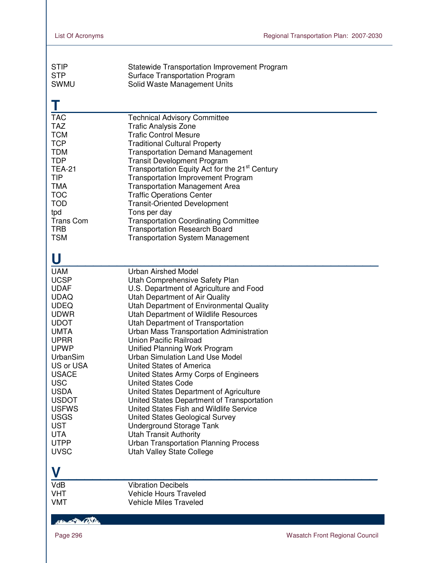| <b>STIP</b>      | Statewide Transportation Improvement Program               |
|------------------|------------------------------------------------------------|
| <b>STP</b>       | <b>Surface Transportation Program</b>                      |
| <b>SWMU</b>      | Solid Waste Management Units                               |
|                  |                                                            |
| <b>TAC</b>       | <b>Technical Advisory Committee</b>                        |
| <b>TAZ</b>       | <b>Trafic Analysis Zone</b>                                |
| <b>TCM</b>       | <b>Trafic Control Mesure</b>                               |
| <b>TCP</b>       | <b>Traditional Cultural Property</b>                       |
| <b>TDM</b>       | <b>Transportation Demand Management</b>                    |
| <b>TDP</b>       | <b>Transit Development Program</b>                         |
| <b>TEA-21</b>    | Transportation Equity Act for the 21 <sup>st</sup> Century |
| <b>TIP</b>       | <b>Transportation Improvement Program</b>                  |
| <b>TMA</b>       | <b>Transportation Management Area</b>                      |
| <b>TOC</b>       | <b>Traffic Operations Center</b>                           |
| <b>TOD</b>       | <b>Transit-Oriented Development</b>                        |
| tpd              | Tons per day                                               |
| <b>Trans Com</b> | <b>Transportation Coordinating Committee</b>               |
| <b>TRB</b>       | <b>Transportation Research Board</b>                       |
| <b>TSM</b>       | <b>Transportation System Management</b>                    |
| U                |                                                            |
| <b>UAM</b>       | <b>Urban Airshed Model</b>                                 |
| <b>UCSP</b>      | Utah Comprehensive Safety Plan                             |
| <b>UDAF</b>      | U.S. Department of Agriculture and Food                    |
| <b>UDAQ</b>      | Utah Department of Air Quality                             |
| <b>UDEQ</b>      | Utah Department of Environmental Quality                   |
| <b>UDWR</b>      | Utah Department of Wildlife Resources                      |
| <b>UDOT</b>      | Utah Department of Transportation                          |
| <b>UMTA</b>      | Urban Mass Transportation Administration                   |
| <b>UPRR</b>      | <b>Union Pacific Railroad</b>                              |
| <b>UPWP</b>      | Unified Planning Work Program                              |
| UrbanSim         | <b>Urban Simulation Land Use Model</b>                     |
| US or USA        | United States of America                                   |
| <b>USACE</b>     | United States Army Corps of Engineers                      |
| <b>USC</b>       | <b>United States Code</b>                                  |
| <b>USDA</b>      | United States Department of Agriculture                    |
| <b>USDOT</b>     | United States Department of Transportation                 |
| <b>USFWS</b>     | United States Fish and Wildlife Service                    |
| <b>USGS</b>      | United States Geological Survey                            |
| <b>UST</b>       | Underground Storage Tank                                   |
| <b>UTA</b>       | <b>Utah Transit Authority</b>                              |
| <b>UTPP</b>      | <b>Urban Transportation Planning Process</b>               |
| <b>UVSC</b>      | Utah Valley State College                                  |
| V                |                                                            |
| <b>VdB</b>       | <b>Vibration Decibels</b>                                  |
| <b>VHT</b>       | <b>Vehicle Hours Traveled</b>                              |
| <b>VMT</b>       | <b>Vehicle Miles Traveled</b>                              |

### Her 2 Billy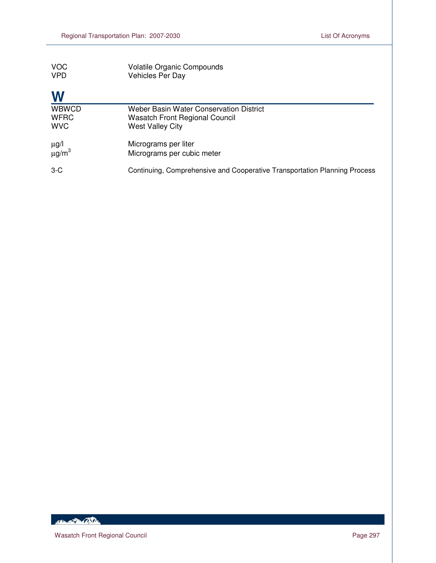| <b>VOC</b><br><b>VPD</b>                  | <b>Volatile Organic Compounds</b><br><b>Vehicles Per Day</b>                                                |
|-------------------------------------------|-------------------------------------------------------------------------------------------------------------|
| W                                         |                                                                                                             |
| <b>WBWCD</b><br><b>WFRC</b><br><b>WVC</b> | Weber Basin Water Conservation District<br><b>Wasatch Front Regional Council</b><br><b>West Valley City</b> |
| μg/l<br>μg/m $^3$                         | Micrograms per liter<br>Micrograms per cubic meter                                                          |
| $3-C$                                     | Continuing, Comprehensive and Cooperative Transportation Planning Process                                   |

HELEN TO